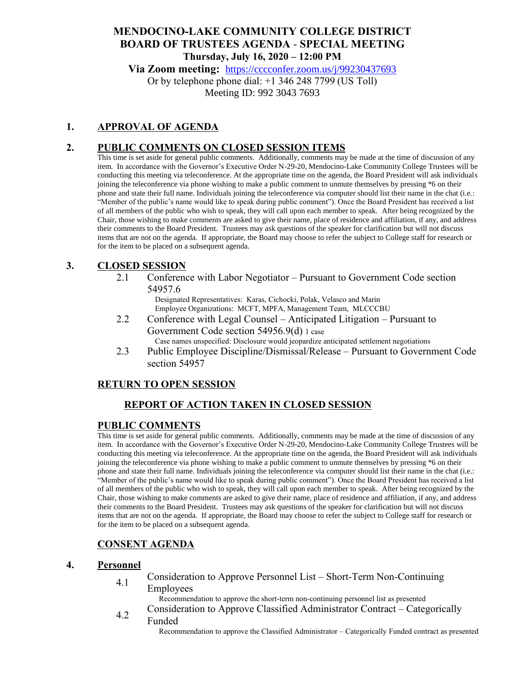# **MENDOCINO-LAKE COMMUNITY COLLEGE DISTRICT BOARD OF TRUSTEES AGENDA** - **SPECIAL MEETING Thursday, July 16, 2020 – 12:00 PM**

**Via Zoom meeting:** <https://cccconfer.zoom.us/j/99230437693>

Or by telephone phone dial: +1 346 248 7799 (US Toll) Meeting ID: 992 3043 7693

### **1. APPROVAL OF AGENDA**

### **2. PUBLIC COMMENTS ON CLOSED SESSION ITEMS**

This time is set aside for general public comments. Additionally, comments may be made at the time of discussion of any item. In accordance with the Governor's Executive Order N-29-20, Mendocino-Lake Community College Trustees will be conducting this meeting via teleconference. At the appropriate time on the agenda, the Board President will ask individuals joining the teleconference via phone wishing to make a public comment to unmute themselves by pressing \*6 on their phone and state their full name. Individuals joining the teleconference via computer should list their name in the chat (i.e.: "Member of the public's name would like to speak during public comment"). Once the Board President has received a list of all members of the public who wish to speak, they will call upon each member to speak. After being recognized by the Chair, those wishing to make comments are asked to give their name, place of residence and affiliation, if any, and address their comments to the Board President. Trustees may ask questions of the speaker for clarification but will not discuss items that are not on the agenda. If appropriate, the Board may choose to refer the subject to College staff for research or for the item to be placed on a subsequent agenda.

### **3. CLOSED SESSION**

2.1 Conference with Labor Negotiator – Pursuant to Government Code section 54957.6

Designated Representatives: Karas, Cichocki, Polak, Velasco and Marin Employee Organizations: MCFT, MPFA, Management Team, MLCCCBU

- 2.2 Conference with Legal Counsel Anticipated Litigation Pursuant to Government Code section 54956.9(d) 1 case Case names unspecified: Disclosure would jeopardize anticipated settlement negotiations
- 2.3 Public Employee Discipline/Dismissal/Release Pursuant to Government Code section 54957

### **RETURN TO OPEN SESSION**

# **REPORT OF ACTION TAKEN IN CLOSED SESSION**

#### **PUBLIC COMMENTS**

This time is set aside for general public comments. Additionally, comments may be made at the time of discussion of any item. In accordance with the Governor's Executive Order N-29-20, Mendocino-Lake Community College Trustees will be conducting this meeting via teleconference. At the appropriate time on the agenda, the Board President will ask individuals joining the teleconference via phone wishing to make a public comment to unmute themselves by pressing \*6 on their phone and state their full name. Individuals joining the teleconference via computer should list their name in the chat (i.e.: "Member of the public's name would like to speak during public comment"). Once the Board President has received a list of all members of the public who wish to speak, they will call upon each member to speak. After being recognized by the Chair, those wishing to make comments are asked to give their name, place of residence and affiliation, if any, and address their comments to the Board President. Trustees may ask questions of the speaker for clarification but will not discuss items that are not on the agenda. If appropriate, the Board may choose to refer the subject to College staff for research or for the item to be placed on a subsequent agenda.

### **CONSENT AGENDA**

#### **4. Personnel**

4.1 Consideration to Approve Personnel List – Short-Term Non-Continuing

Employees

Recommendation to approve the short-term non-continuing personnel list as presented

4.2 Consideration to Approve Classified Administrator Contract – Categorically Funded

Recommendation to approve the Classified Administrator – Categorically Funded contract as presented